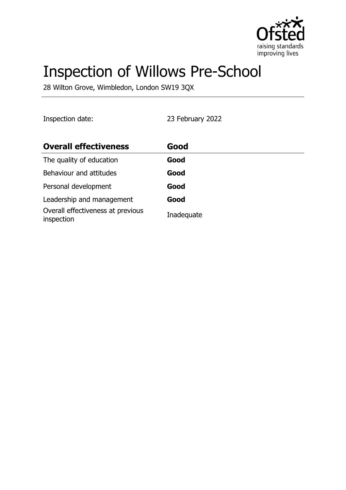

# Inspection of Willows Pre-School

28 Wilton Grove, Wimbledon, London SW19 3QX

Inspection date: 23 February 2022

| <b>Overall effectiveness</b>                    | Good       |
|-------------------------------------------------|------------|
| The quality of education                        | Good       |
| Behaviour and attitudes                         | Good       |
| Personal development                            | Good       |
| Leadership and management                       | Good       |
| Overall effectiveness at previous<br>inspection | Inadequate |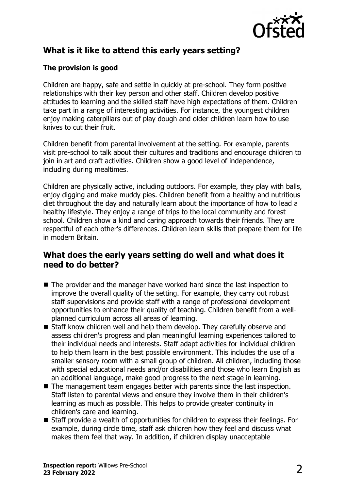

# **What is it like to attend this early years setting?**

## **The provision is good**

Children are happy, safe and settle in quickly at pre-school. They form positive relationships with their key person and other staff. Children develop positive attitudes to learning and the skilled staff have high expectations of them. Children take part in a range of interesting activities. For instance, the youngest children enjoy making caterpillars out of play dough and older children learn how to use knives to cut their fruit.

Children benefit from parental involvement at the setting. For example, parents visit pre-school to talk about their cultures and traditions and encourage children to join in art and craft activities. Children show a good level of independence, including during mealtimes.

Children are physically active, including outdoors. For example, they play with balls, enjoy digging and make muddy pies. Children benefit from a healthy and nutritious diet throughout the day and naturally learn about the importance of how to lead a healthy lifestyle. They enjoy a range of trips to the local community and forest school. Children show a kind and caring approach towards their friends. They are respectful of each other's differences. Children learn skills that prepare them for life in modern Britain.

## **What does the early years setting do well and what does it need to do better?**

- $\blacksquare$  The provider and the manager have worked hard since the last inspection to improve the overall quality of the setting. For example, they carry out robust staff supervisions and provide staff with a range of professional development opportunities to enhance their quality of teaching. Children benefit from a wellplanned curriculum across all areas of learning.
- Staff know children well and help them develop. They carefully observe and assess children's progress and plan meaningful learning experiences tailored to their individual needs and interests. Staff adapt activities for individual children to help them learn in the best possible environment. This includes the use of a smaller sensory room with a small group of children. All children, including those with special educational needs and/or disabilities and those who learn English as an additional language, make good progress to the next stage in learning.
- $\blacksquare$  The management team engages better with parents since the last inspection. Staff listen to parental views and ensure they involve them in their children's learning as much as possible. This helps to provide greater continuity in children's care and learning.
- $\blacksquare$  Staff provide a wealth of opportunities for children to express their feelings. For example, during circle time, staff ask children how they feel and discuss what makes them feel that way. In addition, if children display unacceptable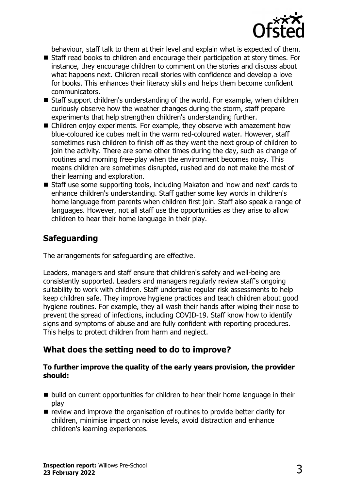

behaviour, staff talk to them at their level and explain what is expected of them.

- Staff read books to children and encourage their participation at story times. For instance, they encourage children to comment on the stories and discuss about what happens next. Children recall stories with confidence and develop a love for books. This enhances their literacy skills and helps them become confident communicators.
- Staff support children's understanding of the world. For example, when children curiously observe how the weather changes during the storm, staff prepare experiments that help strengthen children's understanding further.
- $\blacksquare$  Children enjoy experiments. For example, they observe with amazement how blue-coloured ice cubes melt in the warm red-coloured water. However, staff sometimes rush children to finish off as they want the next group of children to join the activity. There are some other times during the day, such as change of routines and morning free-play when the environment becomes noisy. This means children are sometimes disrupted, rushed and do not make the most of their learning and exploration.
- Staff use some supporting tools, including Makaton and 'now and next' cards to enhance children's understanding. Staff gather some key words in children's home language from parents when children first join. Staff also speak a range of languages. However, not all staff use the opportunities as they arise to allow children to hear their home language in their play.

# **Safeguarding**

The arrangements for safeguarding are effective.

Leaders, managers and staff ensure that children's safety and well-being are consistently supported. Leaders and managers regularly review staff's ongoing suitability to work with children. Staff undertake regular risk assessments to help keep children safe. They improve hygiene practices and teach children about good hygiene routines. For example, they all wash their hands after wiping their nose to prevent the spread of infections, including COVID-19. Staff know how to identify signs and symptoms of abuse and are fully confident with reporting procedures. This helps to protect children from harm and neglect.

# **What does the setting need to do to improve?**

#### **To further improve the quality of the early years provision, the provider should:**

- $\blacksquare$  build on current opportunities for children to hear their home language in their play
- $\blacksquare$  review and improve the organisation of routines to provide better clarity for children, minimise impact on noise levels, avoid distraction and enhance children's learning experiences.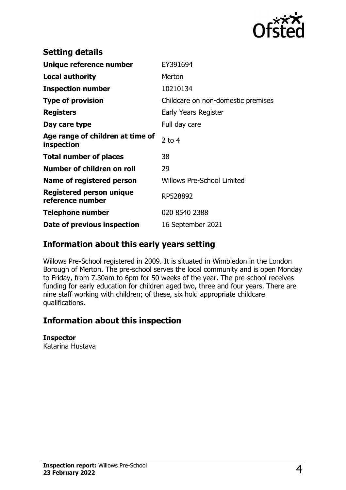

| <b>Setting details</b>                              |                                    |
|-----------------------------------------------------|------------------------------------|
| Unique reference number                             | EY391694                           |
| <b>Local authority</b>                              | Merton                             |
| <b>Inspection number</b>                            | 10210134                           |
| <b>Type of provision</b>                            | Childcare on non-domestic premises |
| <b>Registers</b>                                    | Early Years Register               |
| Day care type                                       | Full day care                      |
| Age range of children at time of<br>inspection      | $2$ to 4                           |
| <b>Total number of places</b>                       | 38                                 |
| Number of children on roll                          | 29                                 |
| Name of registered person                           | <b>Willows Pre-School Limited</b>  |
| <b>Registered person unique</b><br>reference number | RP528892                           |
| <b>Telephone number</b>                             | 020 8540 2388                      |
| Date of previous inspection                         | 16 September 2021                  |

# **Information about this early years setting**

Willows Pre-School registered in 2009. It is situated in Wimbledon in the London Borough of Merton. The pre-school serves the local community and is open Monday to Friday, from 7.30am to 6pm for 50 weeks of the year. The pre-school receives funding for early education for children aged two, three and four years. There are nine staff working with children; of these, six hold appropriate childcare qualifications.

# **Information about this inspection**

#### **Inspector**

Katarina Hustava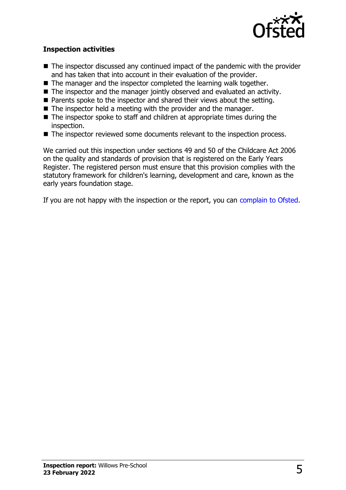

### **Inspection activities**

- $\blacksquare$  The inspector discussed any continued impact of the pandemic with the provider and has taken that into account in their evaluation of the provider.
- $\blacksquare$  The manager and the inspector completed the learning walk together.
- The inspector and the manager jointly observed and evaluated an activity.
- Parents spoke to the inspector and shared their views about the setting.
- $\blacksquare$  The inspector held a meeting with the provider and the manager.
- $\blacksquare$  The inspector spoke to staff and children at appropriate times during the inspection.
- The inspector reviewed some documents relevant to the inspection process.

We carried out this inspection under sections 49 and 50 of the Childcare Act 2006 on the quality and standards of provision that is registered on the Early Years Register. The registered person must ensure that this provision complies with the statutory framework for children's learning, development and care, known as the early years foundation stage.

If you are not happy with the inspection or the report, you can [complain to Ofsted](http://www.gov.uk/complain-ofsted-report).